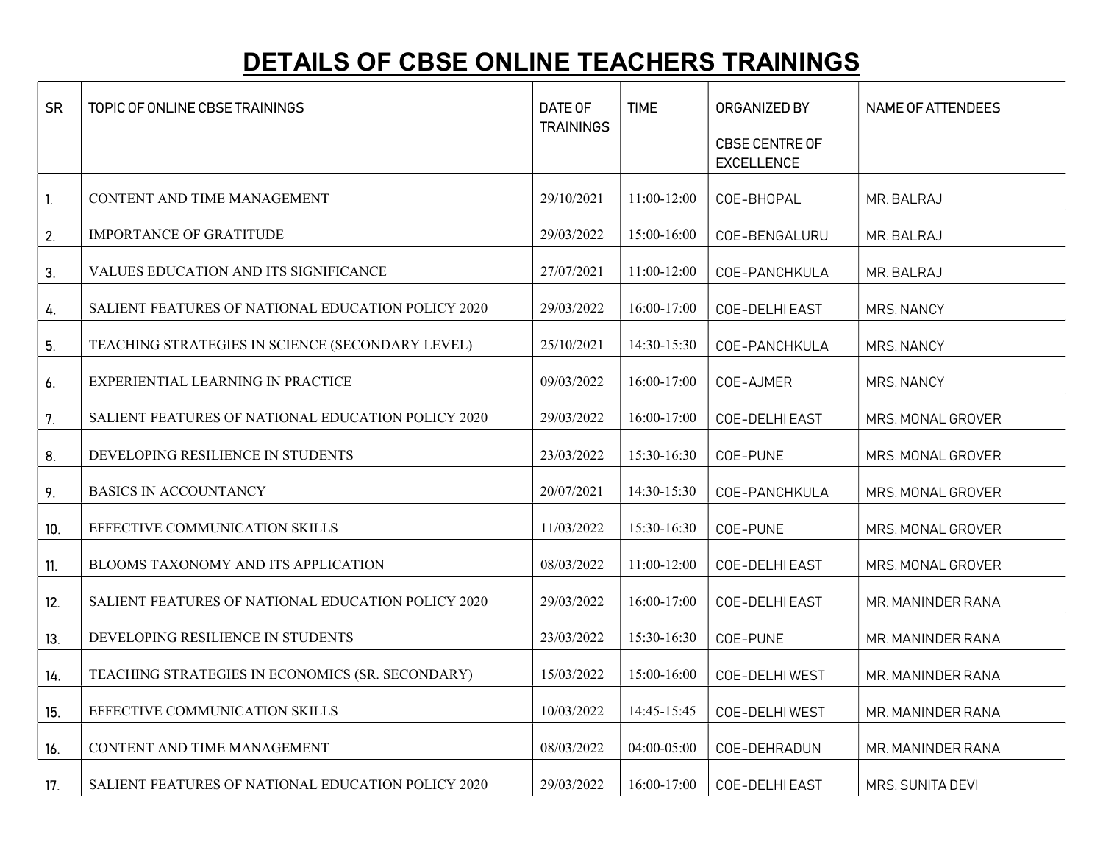## DETAILS OF CBSE ONLINE TEACHERS TRAININGS

| <b>SR</b> | TOPIC OF ONLINE CBSE TRAININGS                            | DATE OF          | <b>TIME</b> | ORGANIZED BY                               | <b>NAME OF ATTENDEES</b> |
|-----------|-----------------------------------------------------------|------------------|-------------|--------------------------------------------|--------------------------|
|           |                                                           | <b>TRAININGS</b> |             | <b>CBSE CENTRE OF</b><br><b>EXCELLENCE</b> |                          |
| 1.        | CONTENT AND TIME MANAGEMENT                               | 29/10/2021       | 11:00-12:00 | COE-BHOPAL                                 | MR. BALRAJ               |
| 2.        | IMPORTANCE OF GRATITUDE                                   | 29/03/2022       | 15:00-16:00 | COE-BENGALURU                              | MR. BALRAJ               |
| 3.        | VALUES EDUCATION AND ITS SIGNIFICANCE                     | 27/07/2021       | 11:00-12:00 | COE-PANCHKULA                              | MR. BALRAJ               |
| 4.        | <b>SALIENT FEATURES OF NATIONAL EDUCATION POLICY 2020</b> | 29/03/2022       | 16:00-17:00 | COE-DELHI EAST                             | MRS. NANCY               |
| 5.        | TEACHING STRATEGIES IN SCIENCE (SECONDARY LEVEL)          | 25/10/2021       | 14:30-15:30 | COE-PANCHKULA                              | <b>MRS. NANCY</b>        |
| 6.        | EXPERIENTIAL LEARNING IN PRACTICE                         | 09/03/2022       | 16:00-17:00 | COE-AJMER                                  | MRS. NANCY               |
| 7.        | SALIENT FEATURES OF NATIONAL EDUCATION POLICY 2020        | 29/03/2022       | 16:00-17:00 | COE-DELHI EAST                             | MRS. MONAL GROVER        |
| 8.        | DEVELOPING RESILIENCE IN STUDENTS                         | 23/03/2022       | 15:30-16:30 | COE-PUNE                                   | MRS. MONAL GROVER        |
| 9.        | <b>BASICS IN ACCOUNTANCY</b>                              | 20/07/2021       | 14:30-15:30 | COE-PANCHKULA                              | MRS. MONAL GROVER        |
| 10.       | EFFECTIVE COMMUNICATION SKILLS                            | 11/03/2022       | 15:30-16:30 | COE-PUNE                                   | MRS. MONAL GROVER        |
| 11.       | BLOOMS TAXONOMY AND ITS APPLICATION                       | 08/03/2022       | 11:00-12:00 | COE-DELHI EAST                             | MRS. MONAL GROVER        |
| 12.       | SALIENT FEATURES OF NATIONAL EDUCATION POLICY 2020        | 29/03/2022       | 16:00-17:00 | COE-DELHI EAST                             | MR. MANINDER RANA        |
| 13.       | DEVELOPING RESILIENCE IN STUDENTS                         | 23/03/2022       | 15:30-16:30 | COE-PUNE                                   | MR. MANINDER RANA        |
| 14.       | TEACHING STRATEGIES IN ECONOMICS (SR. SECONDARY)          | 15/03/2022       | 15:00-16:00 | COE-DELHI WEST                             | MR. MANINDER RANA        |
| 15.       | EFFECTIVE COMMUNICATION SKILLS                            | 10/03/2022       | 14:45-15:45 | COE-DELHI WEST                             | MR. MANINDER RANA        |
| 16.       | CONTENT AND TIME MANAGEMENT                               | 08/03/2022       | 04:00-05:00 | COE-DEHRADUN                               | MR. MANINDER RANA        |
| 17.       | SALIENT FEATURES OF NATIONAL EDUCATION POLICY 2020        | 29/03/2022       | 16:00-17:00 | COE-DELHI EAST                             | MRS. SUNITA DEVI         |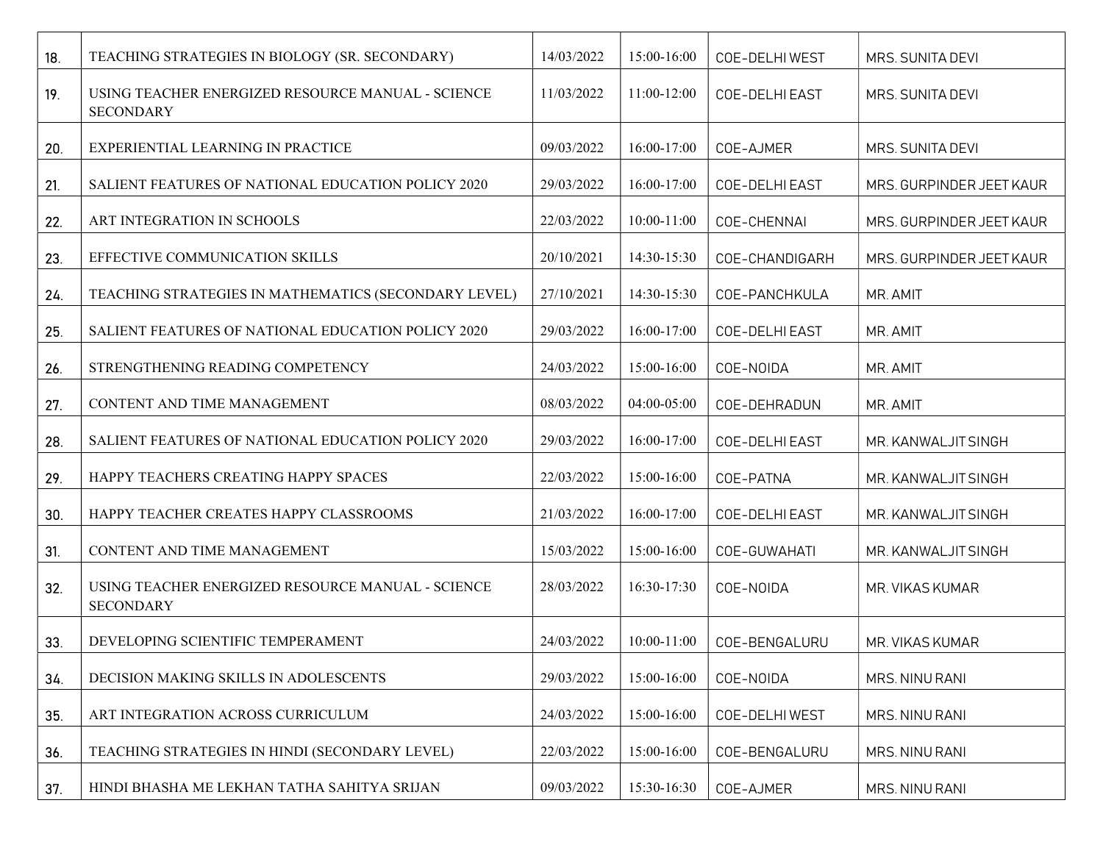| 18. | TEACHING STRATEGIES IN BIOLOGY (SR. SECONDARY)                        | 14/03/2022 | 15:00-16:00     | COE-DELHIWEST         | MRS. SUNITA DEVI         |
|-----|-----------------------------------------------------------------------|------------|-----------------|-----------------------|--------------------------|
| 19. | USING TEACHER ENERGIZED RESOURCE MANUAL - SCIENCE<br><b>SECONDARY</b> | 11/03/2022 | 11:00-12:00     | <b>COE-DELHI EAST</b> | MRS. SUNITA DEVI         |
| 20. | EXPERIENTIAL LEARNING IN PRACTICE                                     | 09/03/2022 | 16:00-17:00     | COE-AJMER             | MRS. SUNITA DEVI         |
| 21. | <b>SALIENT FEATURES OF NATIONAL EDUCATION POLICY 2020</b>             | 29/03/2022 | 16:00-17:00     | COE-DELHI EAST        | MRS. GURPINDER JEET KAUR |
| 22. | ART INTEGRATION IN SCHOOLS                                            | 22/03/2022 | 10:00-11:00     | COE-CHENNAI           | MRS. GURPINDER JEET KAUR |
| 23. | EFFECTIVE COMMUNICATION SKILLS                                        | 20/10/2021 | 14:30-15:30     | COE-CHANDIGARH        | MRS. GURPINDER JEET KAUR |
| 24. | TEACHING STRATEGIES IN MATHEMATICS (SECONDARY LEVEL)                  | 27/10/2021 | 14:30-15:30     | COE-PANCHKULA         | MR. AMIT                 |
| 25. | SALIENT FEATURES OF NATIONAL EDUCATION POLICY 2020                    | 29/03/2022 | 16:00-17:00     | COE-DELHI EAST        | MR. AMIT                 |
| 26. | STRENGTHENING READING COMPETENCY                                      | 24/03/2022 | 15:00-16:00     | COE-NOIDA             | MR. AMIT                 |
| 27. | CONTENT AND TIME MANAGEMENT                                           | 08/03/2022 | 04:00-05:00     | COE-DEHRADUN          | MR. AMIT                 |
| 28. | SALIENT FEATURES OF NATIONAL EDUCATION POLICY 2020                    | 29/03/2022 | 16:00-17:00     | COE-DELHI EAST        | MR. KANWALJIT SINGH      |
| 29. | HAPPY TEACHERS CREATING HAPPY SPACES                                  | 22/03/2022 | 15:00-16:00     | COE-PATNA             | MR. KANWALJIT SINGH      |
| 30. | HAPPY TEACHER CREATES HAPPY CLASSROOMS                                | 21/03/2022 | 16:00-17:00     | COE-DELHI EAST        | MR. KANWALJIT SINGH      |
| 31. | CONTENT AND TIME MANAGEMENT                                           | 15/03/2022 | 15:00-16:00     | COE-GUWAHATI          | MR. KANWALJIT SINGH      |
| 32. | USING TEACHER ENERGIZED RESOURCE MANUAL - SCIENCE<br><b>SECONDARY</b> | 28/03/2022 | 16:30-17:30     | COE-NOIDA             | MR. VIKAS KUMAR          |
| 33. | DEVELOPING SCIENTIFIC TEMPERAMENT                                     | 24/03/2022 | $10:00 - 11:00$ | COE-BENGALURU         | MR. VIKAS KUMAR          |
| 34. | DECISION MAKING SKILLS IN ADOLESCENTS                                 | 29/03/2022 | 15:00-16:00     | COE-NOIDA             | MRS. NINU RANI           |
| 35. | ART INTEGRATION ACROSS CURRICULUM                                     | 24/03/2022 | 15:00-16:00     | COE-DELHI WEST        | MRS. NINU RANI           |
| 36. | TEACHING STRATEGIES IN HINDI (SECONDARY LEVEL)                        | 22/03/2022 | 15:00-16:00     | COE-BENGALURU         | MRS. NINU RANI           |
| 37. | HINDI BHASHA ME LEKHAN TATHA SAHITYA SRIJAN                           | 09/03/2022 | 15:30-16:30     | COE-AJMER             | MRS. NINU RANI           |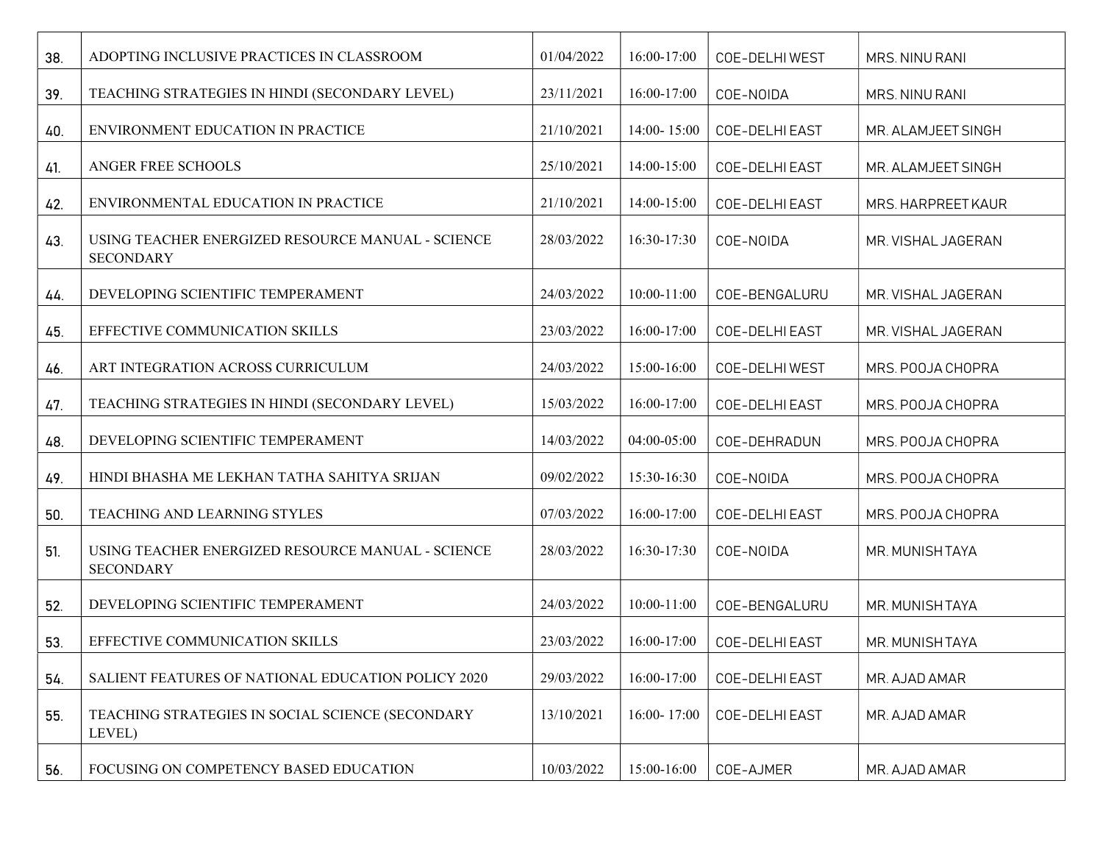| 38. | ADOPTING INCLUSIVE PRACTICES IN CLASSROOM                             | 01/04/2022 | 16:00-17:00     | COE-DELHIWEST  | MRS. NINU RANI     |
|-----|-----------------------------------------------------------------------|------------|-----------------|----------------|--------------------|
| 39. | TEACHING STRATEGIES IN HINDI (SECONDARY LEVEL)                        | 23/11/2021 | 16:00-17:00     | COE-NOIDA      | MRS. NINU RANI     |
| 40. | ENVIRONMENT EDUCATION IN PRACTICE                                     | 21/10/2021 | 14:00-15:00     | COE-DELHI EAST | MR. ALAMJEET SINGH |
| 41. | ANGER FREE SCHOOLS                                                    | 25/10/2021 | 14:00-15:00     | COE-DELHI EAST | MR. ALAMJEET SINGH |
| 42. | ENVIRONMENTAL EDUCATION IN PRACTICE                                   | 21/10/2021 | 14:00-15:00     | COE-DELHI EAST | MRS. HARPREET KAUR |
| 43. | USING TEACHER ENERGIZED RESOURCE MANUAL - SCIENCE<br><b>SECONDARY</b> | 28/03/2022 | 16:30-17:30     | COE-NOIDA      | MR. VISHAL JAGERAN |
| 44. | DEVELOPING SCIENTIFIC TEMPERAMENT                                     | 24/03/2022 | $10:00-11:00$   | COE-BENGALURU  | MR. VISHAL JAGERAN |
| 45. | EFFECTIVE COMMUNICATION SKILLS                                        | 23/03/2022 | 16:00-17:00     | COE-DELHI EAST | MR. VISHAL JAGERAN |
| 46. | ART INTEGRATION ACROSS CURRICULUM                                     | 24/03/2022 | 15:00-16:00     | COE-DELHI WEST | MRS. POOJA CHOPRA  |
| 47. | TEACHING STRATEGIES IN HINDI (SECONDARY LEVEL)                        | 15/03/2022 | 16:00-17:00     | COE-DELHI EAST | MRS. POOJA CHOPRA  |
| 48. | DEVELOPING SCIENTIFIC TEMPERAMENT                                     | 14/03/2022 | 04:00-05:00     | COE-DEHRADUN   | MRS. POOJA CHOPRA  |
| 49. | HINDI BHASHA ME LEKHAN TATHA SAHITYA SRIJAN                           | 09/02/2022 | 15:30-16:30     | COE-NOIDA      | MRS. POOJA CHOPRA  |
| 50. | TEACHING AND LEARNING STYLES                                          | 07/03/2022 | 16:00-17:00     | COE-DELHI EAST | MRS. POOJA CHOPRA  |
| 51. | USING TEACHER ENERGIZED RESOURCE MANUAL - SCIENCE<br><b>SECONDARY</b> | 28/03/2022 | 16:30-17:30     | COE-NOIDA      | MR. MUNISHTAYA     |
| 52. | DEVELOPING SCIENTIFIC TEMPERAMENT                                     | 24/03/2022 | 10:00-11:00     | COE-BENGALURU  | MR. MUNISHTAYA     |
| 53. | EFFECTIVE COMMUNICATION SKILLS                                        | 23/03/2022 | 16:00-17:00     | COE-DELHI EAST | MR. MUNISHTAYA     |
| 54. | SALIENT FEATURES OF NATIONAL EDUCATION POLICY 2020                    | 29/03/2022 | 16:00-17:00     | COE-DELHI EAST | MR. AJAD AMAR      |
| 55. | TEACHING STRATEGIES IN SOCIAL SCIENCE (SECONDARY<br>LEVEL)            | 13/10/2021 | $16:00 - 17:00$ | COE-DELHI EAST | MR. AJAD AMAR      |
| 56. | FOCUSING ON COMPETENCY BASED EDUCATION                                | 10/03/2022 | 15:00-16:00     | COE-AJMER      | MR. AJAD AMAR      |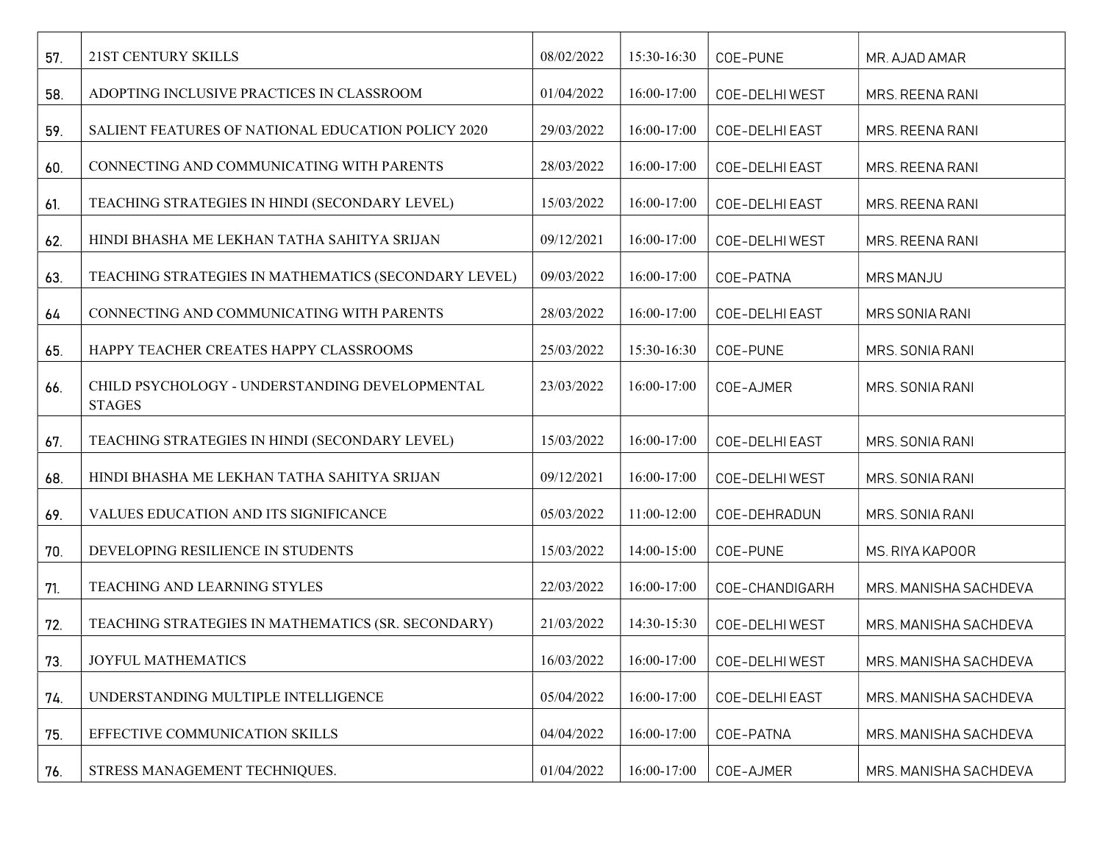| 57. | 21ST CENTURY SKILLS                                             | 08/02/2022 | 15:30-16:30 | COE-PUNE       | MR. AJAD AMAR         |
|-----|-----------------------------------------------------------------|------------|-------------|----------------|-----------------------|
| 58. | ADOPTING INCLUSIVE PRACTICES IN CLASSROOM                       | 01/04/2022 | 16:00-17:00 | COE-DELHI WEST | MRS. REENA RANI       |
| 59. | SALIENT FEATURES OF NATIONAL EDUCATION POLICY 2020              | 29/03/2022 | 16:00-17:00 | COE-DELHI EAST | MRS. REENA RANI       |
| 60. | CONNECTING AND COMMUNICATING WITH PARENTS                       | 28/03/2022 | 16:00-17:00 | COE-DELHI EAST | MRS. REENA RANI       |
| 61. | TEACHING STRATEGIES IN HINDI (SECONDARY LEVEL)                  | 15/03/2022 | 16:00-17:00 | COE-DELHI EAST | MRS. REENA RANI       |
| 62. | HINDI BHASHA ME LEKHAN TATHA SAHITYA SRIJAN                     | 09/12/2021 | 16:00-17:00 | COE-DELHI WEST | MRS. REENA RANI       |
| 63. | TEACHING STRATEGIES IN MATHEMATICS (SECONDARY LEVEL)            | 09/03/2022 | 16:00-17:00 | COE-PATNA      | <b>MRS MANJU</b>      |
| 64  | CONNECTING AND COMMUNICATING WITH PARENTS                       | 28/03/2022 | 16:00-17:00 | COE-DELHI EAST | MRS SONIA RANI        |
| 65. | HAPPY TEACHER CREATES HAPPY CLASSROOMS                          | 25/03/2022 | 15:30-16:30 | COE-PUNE       | MRS. SONIA RANI       |
| 66. | CHILD PSYCHOLOGY - UNDERSTANDING DEVELOPMENTAL<br><b>STAGES</b> | 23/03/2022 | 16:00-17:00 | COE-AJMER      | MRS. SONIA RANI       |
| 67. | TEACHING STRATEGIES IN HINDI (SECONDARY LEVEL)                  | 15/03/2022 | 16:00-17:00 | COE-DELHI EAST | MRS. SONIA RANI       |
| 68. | HINDI BHASHA ME LEKHAN TATHA SAHITYA SRIJAN                     | 09/12/2021 | 16:00-17:00 | COE-DELHI WEST | MRS. SONIA RANI       |
| 69. | VALUES EDUCATION AND ITS SIGNIFICANCE                           | 05/03/2022 | 11:00-12:00 | COE-DEHRADUN   | MRS. SONIA RANI       |
| 70. | DEVELOPING RESILIENCE IN STUDENTS                               | 15/03/2022 | 14:00-15:00 | COE-PUNE       | MS. RIYA KAPOOR       |
| 71. | TEACHING AND LEARNING STYLES                                    | 22/03/2022 | 16:00-17:00 | COE-CHANDIGARH | MRS. MANISHA SACHDEVA |
| 72. | TEACHING STRATEGIES IN MATHEMATICS (SR. SECONDARY)              | 21/03/2022 | 14:30-15:30 | COE-DELHI WEST | MRS. MANISHA SACHDEVA |
| 73. | <b>JOYFUL MATHEMATICS</b>                                       | 16/03/2022 | 16:00-17:00 | COE-DELHI WEST | MRS. MANISHA SACHDEVA |
| 74. | UNDERSTANDING MULTIPLE INTELLIGENCE                             | 05/04/2022 | 16:00-17:00 | COE-DELHI EAST | MRS. MANISHA SACHDEVA |
| 75. | EFFECTIVE COMMUNICATION SKILLS                                  | 04/04/2022 | 16:00-17:00 | COE-PATNA      | MRS. MANISHA SACHDEVA |
| 76. | STRESS MANAGEMENT TECHNIQUES.                                   | 01/04/2022 | 16:00-17:00 | COE-AJMER      | MRS. MANISHA SACHDEVA |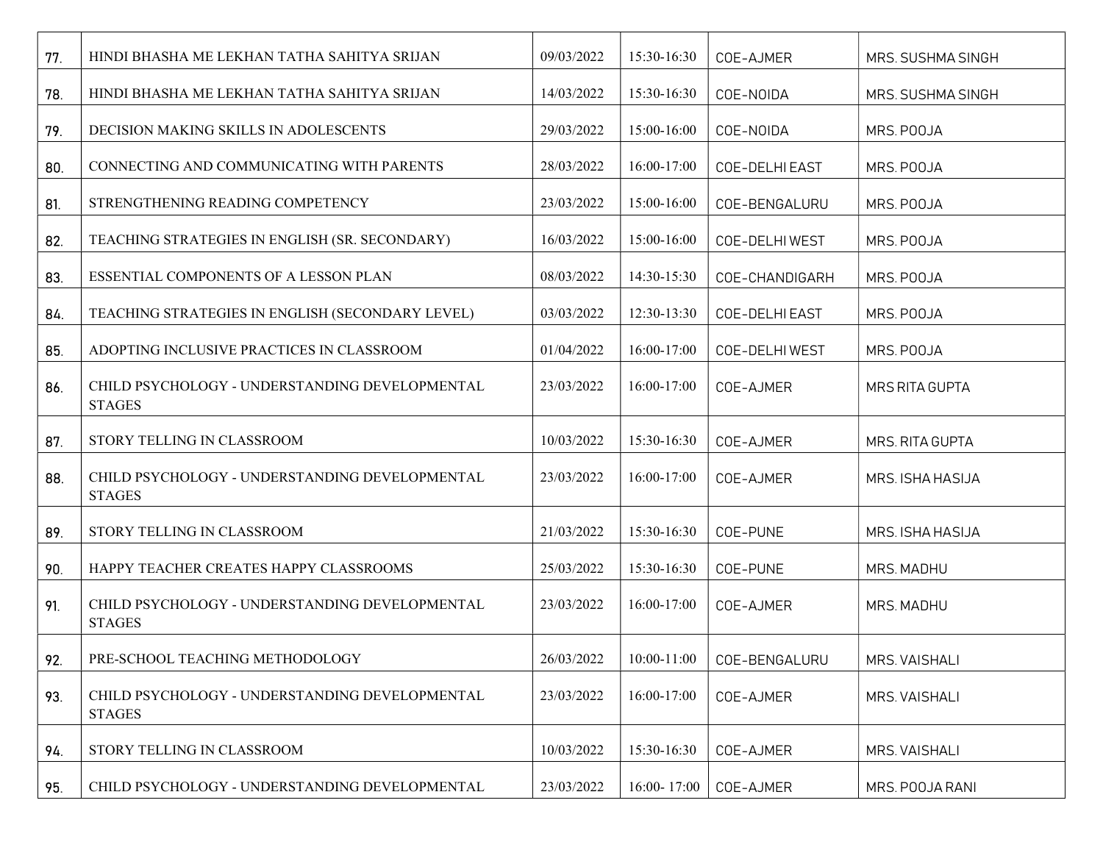| 77. | HINDI BHASHA ME LEKHAN TATHA SAHITYA SRIJAN                     | 09/03/2022 | 15:30-16:30 | COE-AJMER      | MRS. SUSHMA SINGH |
|-----|-----------------------------------------------------------------|------------|-------------|----------------|-------------------|
| 78. | HINDI BHASHA ME LEKHAN TATHA SAHITYA SRIJAN                     | 14/03/2022 | 15:30-16:30 | COE-NOIDA      | MRS. SUSHMA SINGH |
| 79. | DECISION MAKING SKILLS IN ADOLESCENTS                           | 29/03/2022 | 15:00-16:00 | COE-NOIDA      | MRS. POOJA        |
| 80. | CONNECTING AND COMMUNICATING WITH PARENTS                       | 28/03/2022 | 16:00-17:00 | COE-DELHI EAST | MRS. POOJA        |
| 81. | STRENGTHENING READING COMPETENCY                                | 23/03/2022 | 15:00-16:00 | COE-BENGALURU  | MRS. POOJA        |
| 82. | TEACHING STRATEGIES IN ENGLISH (SR. SECONDARY)                  | 16/03/2022 | 15:00-16:00 | COE-DELHI WEST | MRS. POOJA        |
| 83. | ESSENTIAL COMPONENTS OF A LESSON PLAN                           | 08/03/2022 | 14:30-15:30 | COE-CHANDIGARH | MRS. POOJA        |
| 84. | TEACHING STRATEGIES IN ENGLISH (SECONDARY LEVEL)                | 03/03/2022 | 12:30-13:30 | COE-DELHI EAST | MRS. POOJA        |
| 85. | ADOPTING INCLUSIVE PRACTICES IN CLASSROOM                       | 01/04/2022 | 16:00-17:00 | COE-DELHI WEST | MRS. POOJA        |
| 86. | CHILD PSYCHOLOGY - UNDERSTANDING DEVELOPMENTAL<br><b>STAGES</b> | 23/03/2022 | 16:00-17:00 | COE-AJMER      | MRS RITA GUPTA    |
| 87. | STORY TELLING IN CLASSROOM                                      | 10/03/2022 | 15:30-16:30 | COE-AJMER      | MRS. RITA GUPTA   |
| 88. | CHILD PSYCHOLOGY - UNDERSTANDING DEVELOPMENTAL<br><b>STAGES</b> | 23/03/2022 | 16:00-17:00 | COE-AJMER      | MRS. ISHA HASIJA  |
| 89. | STORY TELLING IN CLASSROOM                                      | 21/03/2022 | 15:30-16:30 | COE-PUNE       | MRS. ISHA HASIJA  |
| 90. | HAPPY TEACHER CREATES HAPPY CLASSROOMS                          | 25/03/2022 | 15:30-16:30 | COE-PUNE       | MRS. MADHU        |
| 91. | CHILD PSYCHOLOGY - UNDERSTANDING DEVELOPMENTAL<br><b>STAGES</b> | 23/03/2022 | 16:00-17:00 | COE-AJMER      | MRS. MADHU        |
| 92. | PRE-SCHOOL TEACHING METHODOLOGY                                 | 26/03/2022 | 10:00-11:00 | COE-BENGALURU  | MRS. VAISHALI     |
| 93. | CHILD PSYCHOLOGY - UNDERSTANDING DEVELOPMENTAL<br><b>STAGES</b> | 23/03/2022 | 16:00-17:00 | COE-AJMER      | MRS. VAISHALI     |
| 94. | STORY TELLING IN CLASSROOM                                      | 10/03/2022 | 15:30-16:30 | COE-AJMER      | MRS. VAISHALI     |
| 95. | CHILD PSYCHOLOGY - UNDERSTANDING DEVELOPMENTAL                  | 23/03/2022 | 16:00-17:00 | COE-AJMER      | MRS. POOJA RANI   |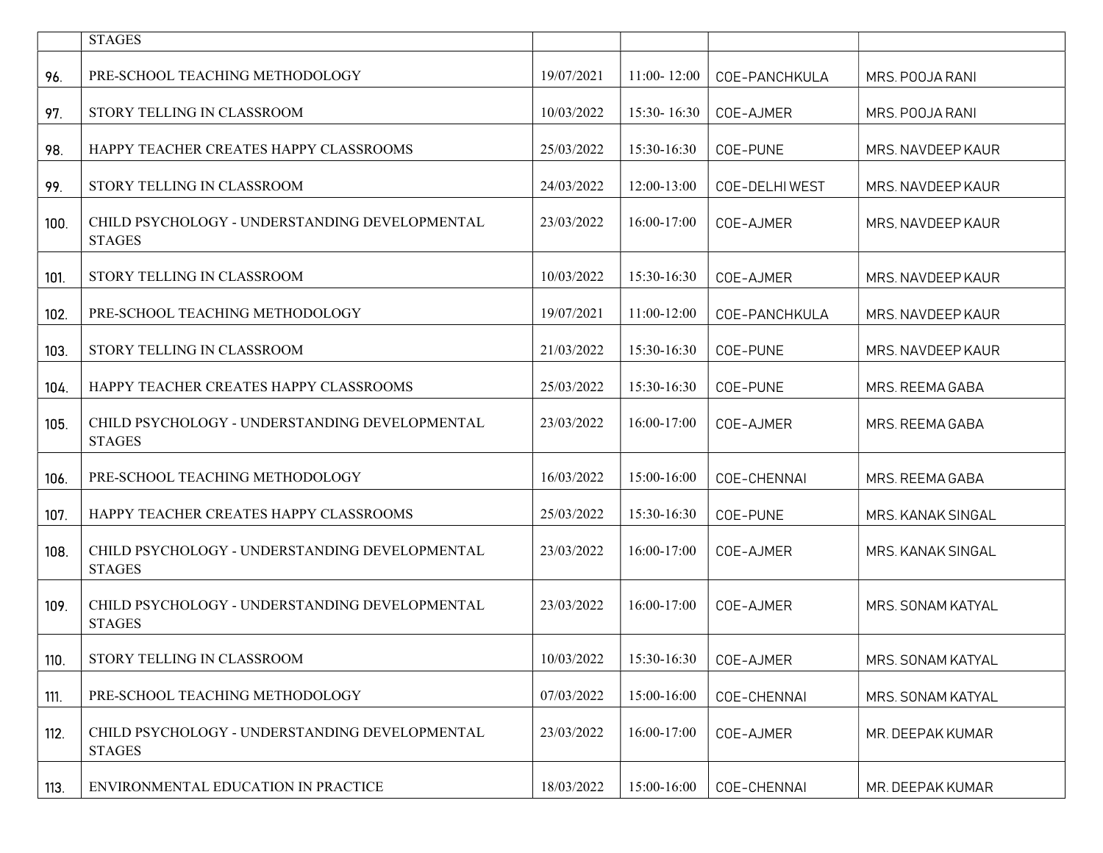|      | <b>STAGES</b>                                                   |            |                 |                |                   |
|------|-----------------------------------------------------------------|------------|-----------------|----------------|-------------------|
| 96.  | PRE-SCHOOL TEACHING METHODOLOGY                                 | 19/07/2021 | $11:00 - 12:00$ | COE-PANCHKULA  | MRS. POOJA RANI   |
| 97.  | STORY TELLING IN CLASSROOM                                      | 10/03/2022 | 15:30-16:30     | COE-AJMER      | MRS. POOJA RANI   |
| 98.  | HAPPY TEACHER CREATES HAPPY CLASSROOMS                          | 25/03/2022 | 15:30-16:30     | COE-PUNE       | MRS. NAVDEEP KAUR |
| 99.  | STORY TELLING IN CLASSROOM                                      | 24/03/2022 | 12:00-13:00     | COE-DELHI WEST | MRS. NAVDEEP KAUR |
| 100. | CHILD PSYCHOLOGY - UNDERSTANDING DEVELOPMENTAL<br><b>STAGES</b> | 23/03/2022 | 16:00-17:00     | COE-AJMER      | MRS, NAVDEEP KAUR |
| 101. | STORY TELLING IN CLASSROOM                                      | 10/03/2022 | 15:30-16:30     | COE-AJMER      | MRS. NAVDEEP KAUR |
| 102. | PRE-SCHOOL TEACHING METHODOLOGY                                 | 19/07/2021 | 11:00-12:00     | COE-PANCHKULA  | MRS. NAVDEEP KAUR |
| 103. | STORY TELLING IN CLASSROOM                                      | 21/03/2022 | 15:30-16:30     | COE-PUNE       | MRS. NAVDEEP KAUR |
| 104. | HAPPY TEACHER CREATES HAPPY CLASSROOMS                          | 25/03/2022 | 15:30-16:30     | COE-PUNE       | MRS. REEMA GABA   |
| 105. | CHILD PSYCHOLOGY - UNDERSTANDING DEVELOPMENTAL<br><b>STAGES</b> | 23/03/2022 | $16:00-17:00$   | COE-AJMER      | MRS. REEMA GABA   |
| 106. | PRE-SCHOOL TEACHING METHODOLOGY                                 | 16/03/2022 | 15:00-16:00     | COE-CHENNAI    | MRS. REEMA GABA   |
| 107. | HAPPY TEACHER CREATES HAPPY CLASSROOMS                          | 25/03/2022 | 15:30-16:30     | COE-PUNE       | MRS. KANAK SINGAL |
| 108. | CHILD PSYCHOLOGY - UNDERSTANDING DEVELOPMENTAL<br><b>STAGES</b> | 23/03/2022 | 16:00-17:00     | COE-AJMER      | MRS. KANAK SINGAL |
| 109. | CHILD PSYCHOLOGY - UNDERSTANDING DEVELOPMENTAL<br><b>STAGES</b> | 23/03/2022 | 16:00-17:00     | COE-AJMER      | MRS. SONAM KATYAL |
| 110. | STORY TELLING IN CLASSROOM                                      | 10/03/2022 | 15:30-16:30     | COE-AJMER      | MRS. SONAM KATYAL |
| 111. | PRE-SCHOOL TEACHING METHODOLOGY                                 | 07/03/2022 | 15:00-16:00     | COE-CHENNAI    | MRS. SONAM KATYAL |
| 112. | CHILD PSYCHOLOGY - UNDERSTANDING DEVELOPMENTAL<br><b>STAGES</b> | 23/03/2022 | 16:00-17:00     | COE-AJMER      | MR. DEEPAK KUMAR  |
| 113. | ENVIRONMENTAL EDUCATION IN PRACTICE                             | 18/03/2022 | 15:00-16:00     | COE-CHENNAI    | MR. DEEPAK KUMAR  |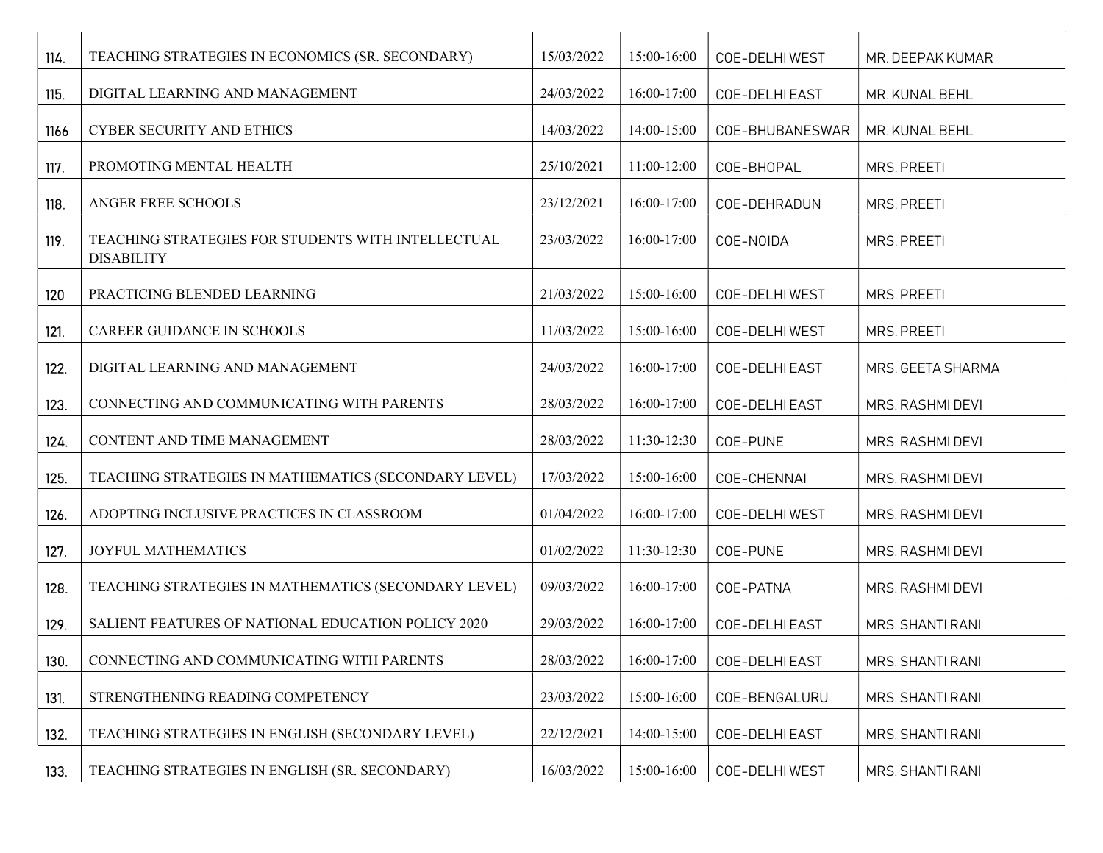| 114. | TEACHING STRATEGIES IN ECONOMICS (SR. SECONDARY)                        | 15/03/2022 | 15:00-16:00 | COE-DELHIWEST   | MR. DEEPAK KUMAR   |
|------|-------------------------------------------------------------------------|------------|-------------|-----------------|--------------------|
| 115. | DIGITAL LEARNING AND MANAGEMENT                                         | 24/03/2022 | 16:00-17:00 | COE-DELHI EAST  | MR. KUNAL BEHL     |
| 1166 | CYBER SECURITY AND ETHICS                                               | 14/03/2022 | 14:00-15:00 | COE-BHUBANESWAR | MR. KUNAL BEHL     |
| 117. | PROMOTING MENTAL HEALTH                                                 | 25/10/2021 | 11:00-12:00 | COE-BHOPAL      | <b>MRS. PREETI</b> |
| 118. | ANGER FREE SCHOOLS                                                      | 23/12/2021 | 16:00-17:00 | COE-DEHRADUN    | <b>MRS. PREETI</b> |
| 119. | TEACHING STRATEGIES FOR STUDENTS WITH INTELLECTUAL<br><b>DISABILITY</b> | 23/03/2022 | 16:00-17:00 | COE-NOIDA       | MRS. PREETI        |
| 120  | PRACTICING BLENDED LEARNING                                             | 21/03/2022 | 15:00-16:00 | COE-DELHI WEST  | <b>MRS. PREETI</b> |
| 121. | CAREER GUIDANCE IN SCHOOLS                                              | 11/03/2022 | 15:00-16:00 | COE-DELHI WEST  | <b>MRS. PREETI</b> |
| 122. | DIGITAL LEARNING AND MANAGEMENT                                         | 24/03/2022 | 16:00-17:00 | COE-DELHI EAST  | MRS. GEETA SHARMA  |
| 123. | CONNECTING AND COMMUNICATING WITH PARENTS                               | 28/03/2022 | 16:00-17:00 | COE-DELHI EAST  | MRS. RASHMI DEVI   |
| 124. | CONTENT AND TIME MANAGEMENT                                             | 28/03/2022 | 11:30-12:30 | COE-PUNE        | MRS. RASHMI DEVI   |
| 125. | TEACHING STRATEGIES IN MATHEMATICS (SECONDARY LEVEL)                    | 17/03/2022 | 15:00-16:00 | COE-CHENNAI     | MRS. RASHMI DEVI   |
| 126. | ADOPTING INCLUSIVE PRACTICES IN CLASSROOM                               | 01/04/2022 | 16:00-17:00 | COE-DELHI WEST  | MRS. RASHMI DEVI   |
| 127. | <b>JOYFUL MATHEMATICS</b>                                               | 01/02/2022 | 11:30-12:30 | COE-PUNE        | MRS. RASHMI DEVI   |
| 128. | TEACHING STRATEGIES IN MATHEMATICS (SECONDARY LEVEL)                    | 09/03/2022 | 16:00-17:00 | COE-PATNA       | MRS. RASHMI DEVI   |
| 129. | SALIENT FEATURES OF NATIONAL EDUCATION POLICY 2020                      | 29/03/2022 | 16:00-17:00 | COE-DELHI EAST  | MRS. SHANTI RANI   |
| 130. | CONNECTING AND COMMUNICATING WITH PARENTS                               | 28/03/2022 | 16:00-17:00 | COE-DELHI EAST  | MRS. SHANTI RANI   |
| 131. | STRENGTHENING READING COMPETENCY                                        | 23/03/2022 | 15:00-16:00 | COE-BENGALURU   | MRS. SHANTI RANI   |
| 132. | TEACHING STRATEGIES IN ENGLISH (SECONDARY LEVEL)                        | 22/12/2021 | 14:00-15:00 | COE-DELHI EAST  | MRS. SHANTI RANI   |
| 133. | TEACHING STRATEGIES IN ENGLISH (SR. SECONDARY)                          | 16/03/2022 | 15:00-16:00 | COE-DELHI WEST  | MRS. SHANTI RANI   |